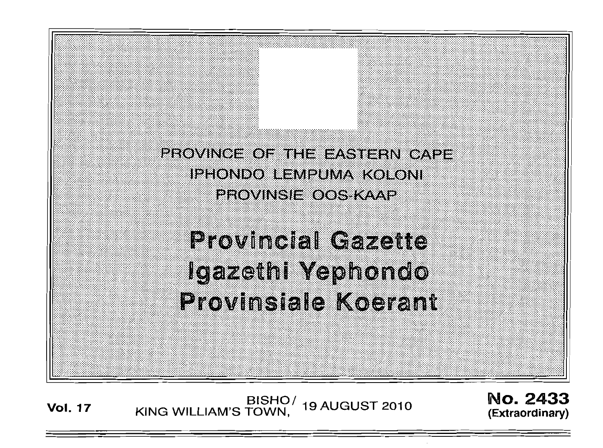PROVINCE OF THE EASTERN CAPE **IPHONDO LEMPUMA KOLONI FROVINSIE OOS KAAP** 

**Provincial Gazette** Igazethi Yephondo **Provinsiale Koerant** 

**Vol. 17**  BISHO/ KING WILLIAM'S TOWN, 19 AUGUST 2010 No. 2433 (Extraordinary)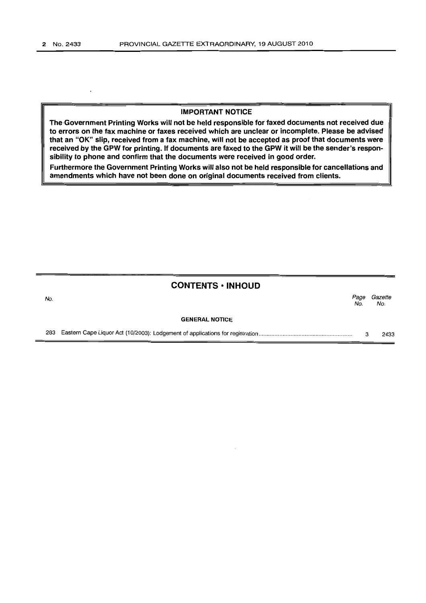### IMPORTANT NOTICE

The,Government Printing Works will not be held responsible for faxed documents not received due to errors on the fax machine or faxes received which are unclear or incomplete. Please be advised that an "OK" slip, received from a fax machine, will not be accepted as proof that documents were received by the GPW for printing. If documents are faxed to the GPW it will be the sender's responsibility to phone and confirm that the documents were received in good order.

Furthermore the Government Printing Works will also not be held responsible for cancellations and amendments which have not been done on original documents received from clients.

## CONTENTS • INHOUD

No. *Page Gazette*  No. No.

#### GENERAL NOTICE

283 Eastern Cape Liquor Act (10/2003): Lodgement of applications for registration .......................................................... . 3 2433